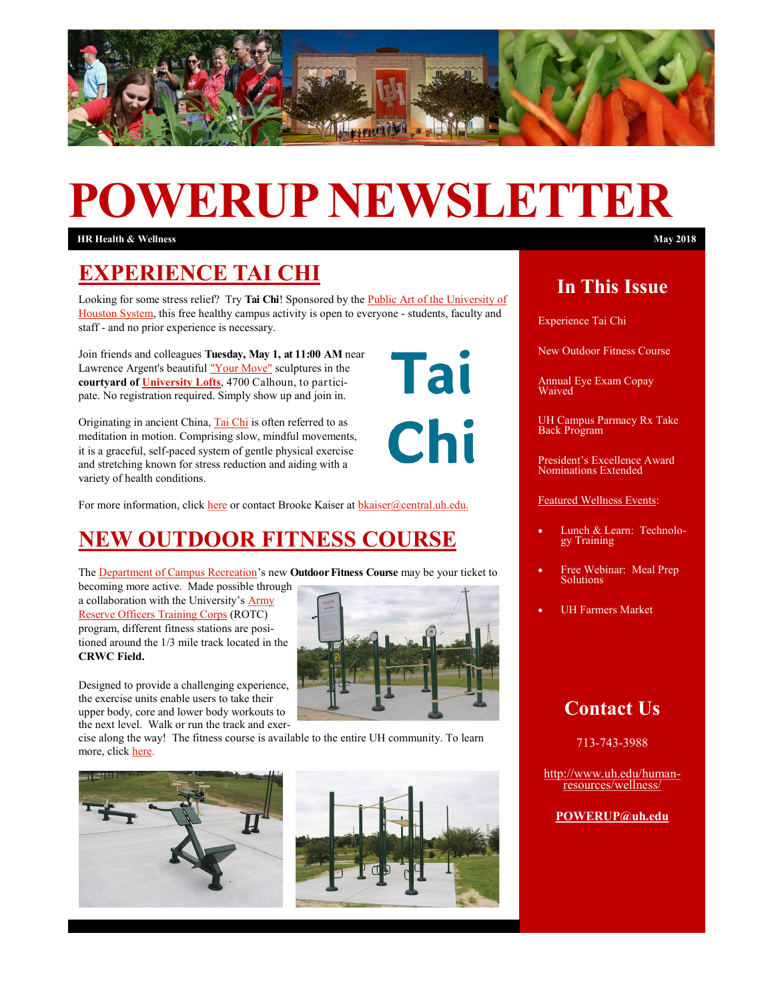

# **POWERUP NEWSLETTER**

**HR Health & Wellness May 2018**

## **EXPERIENCE TAI CHI**

Looking for some stress relief? Try **Tai Chi**! Sponsored by the [Public Art of the University of](http://www.uh.edu/uh-collection/)  [Houston System,](http://www.uh.edu/uh-collection/) this free healthy campus activity is open to everyone - students, faculty and staff - and no prior experience is necessary.

Join friends and colleagues **Tuesday, May 1, at 11:00 AM** near Lawrence Argent's beautiful ["Your Move"](http://www.uh.edu/af-auxiliary-services/news/articles/2016/December/12042016YourMoveCampusArt.php) sculptures in the **courtyard of [University Lofts](https://www.uh.edu/maps/)**, 4700 Calhoun, to participate. No registration required. Simply show up and join in.

Originating in ancient China, [Tai Chi](https://www.youtube.com/watch?v=vHBR5MZmEsYC:/Users/cstein/Documents/ACA%20EEOC%20Issues%20Final%20Rules%20on%20Employer%20Wellness%20Programs_files) is often referred to as meditation in motion. Comprising slow, mindful movements, it is a graceful, self-paced system of gentle physical exercise and stretching known for stress reduction and aiding with a variety of health conditions.

For more information, click [here](https://www.facebook.com/events/1262098110589347/) or contact Brooke Kaiser at [bkaiser@central.uh.edu.](mailto:bkaiser@Central.UH.EDUC)

# **NEW OUTDOOR FITNESS COURSE**

The [Department of Campus Recreation's](http://www.uh.edu/recreation/) new **Outdoor Fitness Course** may be your ticket to

becoming more active. Made possible through a collaboration with the University's [Army](http://www.uh.edu/class/military-science/)  [Reserve Officers Training Corps](http://www.uh.edu/class/military-science/) (ROTC) program, different fitness stations are positioned around the 1/3 mile track located in the **CRWC Field.** 



Tai

Chi

Designed to provide a challenging experience, the exercise units enable users to take their upper body, core and lower body workouts to the next level. Walk or run the track and exer-

cise along the way! The fitness course is available to the entire UH community. To learn more, click [here.](http://www.uh.edu/recreation/facilities/)





### **In This Issue**

Experience Tai Chi

New Outdoor Fitness Course

Annual Eye Exam Copay Waived

UH Campus Parmacy Rx Take Back Program

President's Excellence Award Nominations Extended

Featured Wellness Events:

- Lunch & Learn: Technology Training
- Free Webinar: Meal Prep Solutions
- UH Farmers Market

### **Contact Us**

713-743-3988

[http://www.uh.edu/human](http://uhhelpdesk.custhelp.com/rd?1=AvNw~wqPDv8S~x7zGl1m~yKZAFsohC77Mv~m~z7~Pv8v&2=26669)[resources/wellness/](http://uhhelpdesk.custhelp.com/rd?1=AvNw~wqPDv8S~x7zGl1m~yKZAFsohC77Mv~m~z7~Pv8v&2=26669)